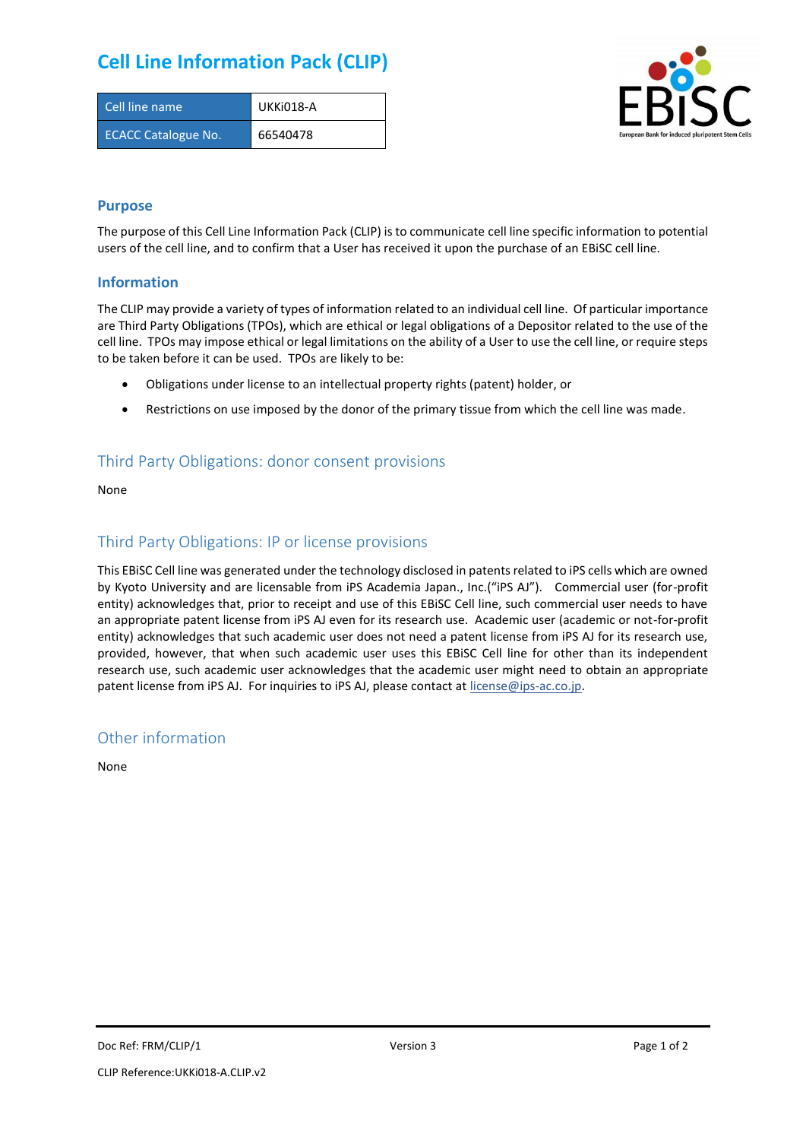## **Cell Line Information Pack (CLIP)**

| Cell line name             | UKKi018-A |
|----------------------------|-----------|
| <b>ECACC Catalogue No.</b> | 66540478  |



#### **Purpose**

The purpose of this Cell Line Information Pack (CLIP) is to communicate cell line specific information to potential users of the cell line, and to confirm that a User has received it upon the purchase of an EBiSC cell line.

#### **Information**

The CLIP may provide a variety of types of information related to an individual cell line. Of particular importance are Third Party Obligations (TPOs), which are ethical or legal obligations of a Depositor related to the use of the cell line. TPOs may impose ethical or legal limitations on the ability of a User to use the cell line, or require steps to be taken before it can be used. TPOs are likely to be:

- Obligations under license to an intellectual property rights (patent) holder, or
- Restrictions on use imposed by the donor of the primary tissue from which the cell line was made.

### Third Party Obligations: donor consent provisions

None

#### Third Party Obligations: IP or license provisions

This EBiSC Cell line was generated under the technology disclosed in patents related to iPS cells which are owned by Kyoto University and are licensable from iPS Academia Japan., Inc.("iPS AJ"). Commercial user (for-profit entity) acknowledges that, prior to receipt and use of this EBiSC Cell line, such commercial user needs to have an appropriate patent license from iPS AJ even for its research use. Academic user (academic or not-for-profit entity) acknowledges that such academic user does not need a patent license from iPS AJ for its research use, provided, however, that when such academic user uses this EBiSC Cell line for other than its independent research use, such academic user acknowledges that the academic user might need to obtain an appropriate patent license from iPS AJ. For inquiries to iPS AJ, please contact at [license@ips-ac.co.jp.](mailto:license@ips-ac.co.jp)

#### Other information

None